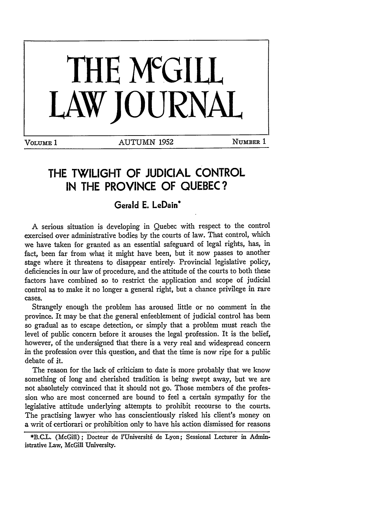

# **THE TWILIGHT OF JUDICIAL CONTROL IN THE PROVINCE OF QUEBEC?**

# **Gerald E. LeDain\***

A serious situation is developing in Quebec with respect to the control exercised over administrative bodies by the courts of law. That control, which we have taken for granted as an essential safeguard of legal rights, has, in fact, been far from what it might have been, but it now passes to another stage where it threatens to disappear entirely. Provincial legislative policy, deficiencies in our law of procedure, and the attitude of the courts to both these factors have combined so to restrict the application and scope of judicial control as to make it no longer a general right, but a chance privilege in rare cases.

Strangely enough the problem has aroused little or no comment in the province. It may be that the general enfeeblement of judicial control has been so gradual as to escape detection, or simply that a problem must reach the level of public concern before it arouses the legal profession. It is the belief, however, of the undersigned that there is a very real and widespread concern in the profession over this question, and that the time is now ripe for a public debate of it.

The reason for the lack of criticism to date is more probably that we know something of long and cherished tradition is being swept away, but we are not absolutely convinced that it should not go. Those members of the profession who are most concerned are bound to feel a certain sympathy for the legislative attitude underlying attempts to prohibit recourse to the courts. The practising lawyer who has conscientiously risked his client's money on a writ of certiorari or prohibition only to have his action dismissed for reasons

\*B.C.L. (McGill); Docteur de l'Universit6 de Lyon; Sessional Lecturer in Administrative Law, McGill University.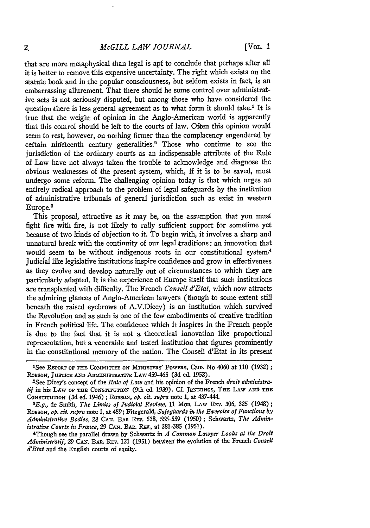#### *McGILL LAW JOURNAL*

that are more metaphysical than legal is apt to conclude that perhaps after all it is better to remove this expensive uncertainty. The right which exists on the statute book and in the popular consciousness, but seldom exists in fact, is an embarrassing allurement. That there should be some control over administrative acts is not seriously disputed, but among those who have considered the question there is less general agreement as to what form it should take.<sup>1</sup> It is true that the weight of opinion in the Anglo-American world is apparently that this control should be left to the courts of law. Often this opinion would seem to rest, however, on nothing firmer than the complacency engendered by certain nineteenth century generalities.<sup>2</sup> Those who continue to see the jurisdiction of the ordinary courts as an indispensable attribute of the Rule of Law have not always taken the trouble to acknowledge and diagnose the obvious weaknesses of the present system, which, if it is to be saved, must undergo some reform. The challenging opinion today is that which urges an entirely radical approach to the problem of legal safeguards **by** the institution of administrative tribunals of general jurisdiction such as exist in western Europe.3

This proposal, attractive as it may be, on the assumption that you must fight fire with fire, is not likely to rally sufficient support for sometime yet because of two kinds of objection to it. To begin with, it involves a sharp and unnatural break with the continuity of our legal traditions: an innovation that would seem to be without indigenous roots in our constitutional system.<sup>4</sup> Judicial like legislative institutions inspire confidence and grow in effectiveness as they evolve and develop naturally out of circumstances to which they are particularly adapted. It is the experience of Europe itself that such institutions are transplanted with difficulty. The French *Conseil d'Etat,* which now attracts the admiring glances of Anglo-American lawyers (though to some extent still beneath the raised eyebrows of A.V.Dicey) is an institution which survived the Revolution and as such is one of the few embodiments of creative tradition in French political life. The confidence which it inspires in the French people is due to the fact that it is not a theoretical innovation like proportional representation, but a venerable and tested institution that figures prominently in the constitutional memory of the nation. The Conseil d'Etat in its present

<sup>&#</sup>x27;See REPORT **OF THE** CommTrzz ON Mnrms'ms' PoWRs, **CmD.** No 4060 at 110 **(1932);** ROBSON, JUSTICE AND ADMINISTRATIVE LAW 459-465 (3d ed. 1952).<br><sup>2</sup>See Dicey's concept of the *Rule of Law* and his opinion of the French *droit administra*-

*tif* in his LAW OF THE CONSTITUTION (9th ed. 1939). Cf. JENNINGS, THE LAW AND THE CoNsmrrruxo (3d ed. 1946) ; RoBsoN, *op. cit. supra* note 1, at 437-444.

*<sup>3</sup>E.g.,* de Smith, *The Limits of Judicial Review,* 11 MOD. LAW REv. *306,* 325 (1948); Robson, *op. cit. supra* note 1, at 459; Fitzgerald, *Safeguards in the Exercise of Functions by Administrative Bodies,* 28 **CAN.** BAR **REv.** 538, 555-559 (1950); Schwartz, *The Admin-*

*istrative Courts in France, 29 CAN. BAR. REV., at 381-385 (1951).* 4 Though see the parallel drawn by Schwartz in *A Common Lawyer Looks at the Droit Administratif,* 29 **CAN.** BAP. **REv.** 121 (1951) between the evolution of the French *Conseil d'Etat* and the English courts of equity.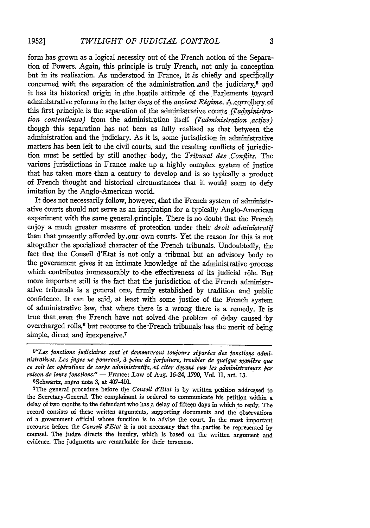form has grown as a logical necessity out of the French notion of the Separation of Powers. Again, this principle is truly French, not only in concepton but in its realisation. As understood in France, it *,is* chiefly and specifically concerned with the separation of the administration and the judiciary,<sup> $5$ </sup> and it has its historical origin in the hostile attitude of the Parlements toward administrative reforms in the latter days of the *ancient Régime*. A corrollary of this first principle is the separation of the administrative courts *(l'administration contentieuse)* from the administration itself *(l'administration active)* -though this separation has not been as fully realised as that between the administration and the judiciary. As it is, some jurisdiction in administratiye matters has been left to the civil courts, and the resultng conflicts of jurisdiction must be settled by still another ,body, the *Tribunal des Conflits.* The various jurisdictions in France make up a highly complex system of justice that has taken more than a century to develop and is so typically a product of French thought and historical circumstances that it would seem to defy imitation by the Anglo-American world.

It does not necessarily follow, however, that the French system of administrative Courts should not serve as an inspiration for a typically Anglo-American experiment with the same general principle. There is no doubt that the French enjoy a much greater measure of protection under their *droit administratif* than that presently afforded **by,** our own courts. Yet the reason for this is not altogether the specialized character of the French tribunals. Undoubtedly, the fact that the Conseil d'Etat is not only a tribunal but an advisory body to the government gives it an intimate knowledge of the administrative process which contributes immeasurably to the effectiveness of its judicial rôle. But more important still is the fact that the jurisdiction of the French administrative tribunals is a general one, firmly established by tradition and public confidence. It can be said, at least with some justice of the French system of administrative law, that where there is a wrong there is a remedy. It is true that even the French have not solved the problem of delay caused *'by* overcharged rolls, $6$  but recourse to the French tribunals has the merit of being simple, direct and inexpensive.<sup>7</sup>

(Schwartz, *supra* note 3, at 407-410.

7 The general procedure before the *Conseil d'Etat* is by written petition addressed to the Secretary-General. The complainant is ordered to communicate his petition within a delay of two months to the defendant who has a delay of fifteen days in which to reply. The record consists of these written arguments, supporting documents and the observations of a government official whose function is to advise the court. In the most important recourse before the *Conseil d'Etat* it is not necessary that the parties be represented by counsel. The judge ,directs the inquiry, which is based on the written argument and evidence. The judgments are remarkable for their terseness.

<sup>&</sup>lt;sup>5</sup>"Les fonctions judiciaires sont et demeureront toujours séparées des fonctions admi*nistratives. Les juges ne pourront, a peine de forfaiture, troubler de quelque manire que* ce soit les opérations de corps administratifs, ni citer devant eux les administrateurs par *raison de leurs fonctions."* - France: Law of Aug. 16-24, 1790, Vol. II, art. 13.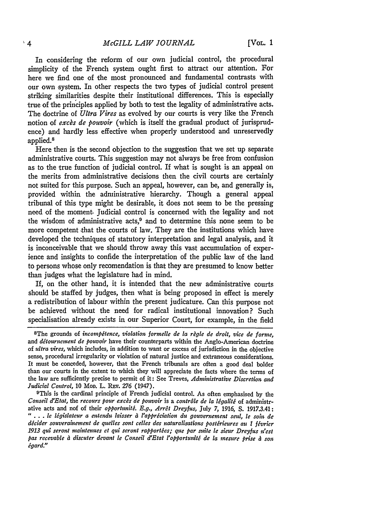In considering the reform of our own judicial control, the procedural simplicity of the French system ought first to attract our attention. For here we find one of the most pronounced and fundamental contrasts with our own system. In other respects the two types of judicial control present striking similarities despite their institutional differences. This is especially true of the principles applied by both to test the legality of administrative acts. The doctrine of *Ultra Vires* as evolved by our courts is very like the French notion of *excbs de pouvoir* (which is itself the gradual product of jurisprudence) and hardly less effective when properly understood and unreservedly applied.<sup>8</sup>

Here then is the second objection to the suggestion that we set up separate administrative courts. This suggestion may not always be free from confusion as to the true function of judicial control. If what is sought is an appeal on the merits from administrative decisions then the civil courts are certainly not suited for this purpose. Such an appeal, however, can be, and generally is, provided within the administrative hierarchy. Though a general appeal tribunal of this type might be desirable, it does not seem to be the pressing need of the moment. Judicial control is concerned with the legality and not the wisdom of administrative acts, $9$  and to determine this none seem to be more competent that the courts of law. They are the institutions which have developed the techniques of statutory interpretation and legal analysis, and it is inconceivable that we should throw away this vast accumulation of experience and insights to confide the interpretation of the public law of the land to persons whose only recomendation is that they are presumed to know better than judges what the legislature had in mind.

If, on the other hand, it is intended that the new administrative courts should be staffed by judges, then what is being proposed in effect is merely a redistribution of labour within the present judicature. Can this purpose not be achieved without the need for radical institutional innovation? Such specialisation already exists in our Superior Court, for example, in the field

9This is the cardinal principle of French judicial control. As often emphasised **by** the *Conseil d'Etat, the recours pour excès de pouvoir is a contrôle de la légalité of administr*ative acts and nof of their *opportunité. E.g., Arrêt Dreyfus, July 7, 1916, S. 1917.3.41: " . . . le ligislateur a entendu laisser a l'appriciation du gouvernement seul, le soit de dccider souveraineiment de quelles sont celles des naturalisations postirieures au I fivrier 1913 qul seront inaintenues et qui seront rapporties; que par suite le sieur Dreyfus n'est pas recevable a discuter devant le Conseil d'Etat l'opportuniti de la mesure prise a son tgard."*

<sup>&</sup>lt;sup>8</sup>The grounds of *incompétence, violation formelle de la règle de droit, vice de forme,* and *détournement de pouvoir* have their counterparts within the Anglo-American doctrine of *ultra vires,* which includes, in addition to want or excess of jurisdiction in the objective sense, procedural irregularity or violation of natural justice and extraneous considerations. It must be conceded, however, that the French tribunals are often a good deal bolder than our courts in the extent to which they will appreciate the facts where the terms of the law are sufficiently precise to permit of it: See Treves, *Administrative Discretion and Judicial Control,* **10** MOD. L. REv. **276** (1947).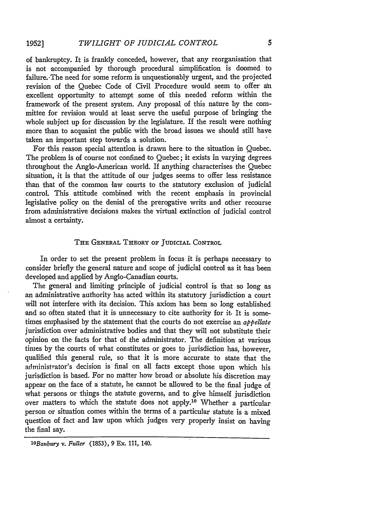of bankruptcy. It is frankly conceded, however, that any reorganisation that is not accompanied by thorough procedural simplification is doomed to failure. The need for some reform is unquestionably urgent, and the projected revision of the Quebec Code of Civil Procedure would seem to offer an excellent opportunity to attempt some of this needed reform within the framework of the present system. Any proposal of this nature by the committee for revision would at least serve the useful purpose of bringing the whole subject up for discussion by the legislature. If the result were nothing more than to acquaint the public with the broad issues we should still have taken an important step towards a solution.

For this reason special attention is drawn here to the situation in Quebec. The problem is of course not confined to Quebec; it exists in varying degrees throughout the Anglo-American world. If anything characterises the Quebec situation, it is that the attitude of our judges seems to offer less resistance than that of the common law courts to the statutory exclusion of judicial control. This attitude combined with the recent emphasis in provincial legislative policy on the denial of the prerogative writs and other recourse from administrative decisions makes the virtual extinction of judicial control almost a certainty.

### THE GENERAL THEORY OF JUDICIAL CONTROL

In order to set the present problem in focus it is perhaps necessary to consider briefly the general nature and scope of judicial control as it has been developed and applied by Anglo-Canadian courts.

The general and limiting principle of judicial control is that so long as an administrative authority has acted within its statutory jurisdiction a court will not interfere with its decision. This axiom has been so long established and so often stated that it is unnecessary to cite authority for it. It is sometimes emphasised by the statement that the courts do not exercise an *appellate* jurisdiction over administrative bodies and that they will not substitute their opinion on the facts for that of the administrator. The definition at various times by the courts of what constitutes or goes to jurisdiction has, however, qualified this general rule, so that it is more accurate to state that the administrator's decision is final on all facts except those upon which his jurisdiction is based. For no matter how broad or absolute his discretion may appear on the face of a statute, he cannot be allowed to be the final judge of what persons or things the statute governs, and to give himself jurisdiction over matters to which the statute does not apply.'0 Whether a particular person or situation comes within the terms of a particular statute is a mixed question of fact and law upon which judges very properly insist on having the final say.

*lOBattbury v. Fuller* (1853), 9 Ex. 111, 140.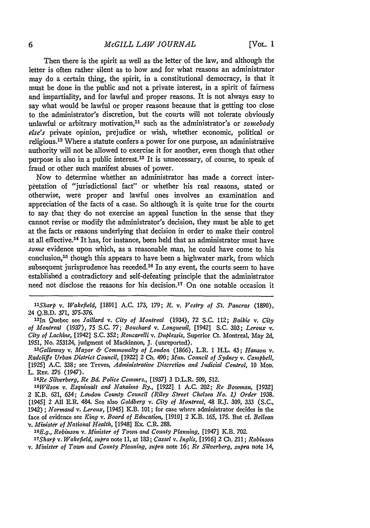#### *McGILL LAW JOURNAL*

Then there is the spirit as well as the letter of the law, and although the letter is often rather silent as to how and for what reasons an administrator may do a certain thing, the spirit, in a constitutional democracy, is that it must be done in the public and not a private interest, in a spirit of fairness and impartiality, and for lawful and proper reasons. It is not always easy to say what would be lawful or proper reasons because that is getting too close to the administrator's discretion, but the courts will not tolerate obviously unlawful or arbitrary motivation,<sup>11</sup> such as the administrator's or *somebody* else's private opinion, prejudice or wish, whether economic, political or religious.<sup>12</sup> Where a statute confers a power for one purpose, an administrative authority will not be allowed to exercise it for another, even though that other purpose is also in a public interest.<sup>13</sup> It is unnecessary, of course, to speak of fraud or other such manifest abuses of power.

Now to determine whether an administrator has made a correct interpietation of "jurisdictional fact" or whether his real reasons, stated or otherwise, were proper and lawful ones involves an examination and appreciation of the facts of a case. So although it is quite true for the courts to say that they do not exercise an appeal function in the sense that they cannot revise or modify the administrator's decision, they must be able to get at the facts or reasons underlying that decision in order to make their control at all effective.<sup>14</sup> It has, for instance, been held that an administrator must have *some* evidence upon which, as a reasonable man, he could have come to his conclusion,<sup>15</sup> though this appears to have been a highwater mark, from which subsequent jurisprudence has receded.<sup>16</sup> In any event, the courts seem to have established a contradictory and self-defeating principle that the administrator need not disclose the reasons for his decision.<sup>17</sup> On one notable occasion it

*Re Silverberg, Re Bd. Police Commrs.,* [1937] 3 D.L.R. 509, 512.

*' <sup>6</sup> Wilson v. Esquinalt and Nalrainm Ry.,* [1922] 1 A.C. 202; *Re Boznnan,* [1932] 2 K.B. 621, 634; *Ltndon County Council (Riley Street Chelsea No. 1) Order* 1938. [1945] 2 All E.R. 484. See also *Goldberg v. City of Montreal,* 48 R.J. 309, 333 (S.C., 1942) ; *Normand v. Leroux,* 11945] K.B. 101 **;** for case where administrator decides in the face of evidence see *King v. Board of Education,* [1910] 2 *Y-B.* 165, 175. But cf. *Belleau* v. *Minister of National Health,* 11948] **Ek.** C.R. **288.** *<sup>1</sup> <sup>6</sup>*

*E.g., Robinson v. Minister of Town and County Planning,* [1947] K.B. 702.

*"'Sharp v. Wakefield, supra* note 11, at 183; *Cassel v. Ihglis,* [1916] 2 Ch. 211; *Robinson v. Minister of Town and County Planning, supra* note 16; *Re Silverberg, supra* note 14,

*lSharp v. Wakefield,* [1891] **A.C.** 173, 179; *R.* v. *Vestry of St. Pancras* **(1890),** 24 Q.B.D. 371, 375-376.

<sup>12</sup> 1n Quebec see *Jaillard v. City of Montreal* (1934), **72 S.C.** 112; *Baikic v. City of Montreal* (1937), 75 S.C. 77; *Bouchard v. Longueuil,* [1942] S.C. 303; *Leroux v. City of Lachine,* [1942] S.C. 352; *Roncarelli v. Duplessis,* Superior Ct. Montreal, May **2d,** 1951, No. 253124, judgment of Mackinnon, J. (unreported).

*<sup>&#</sup>x27; <sup>3</sup> Galloway v. Mayor & Comuwnalty of London* (1866), L.R. 1 H.L. 43; *Hanson v. Radcliffe Urban District Council,* [1922] 2 Ch. 490; *Mun. Council of Sydney v. Campbell,* [19251 **A.C. 338;** see Treves, *Administrative Discretion and Judicial Control,* 10 MoD. L. REv. 276 (1947).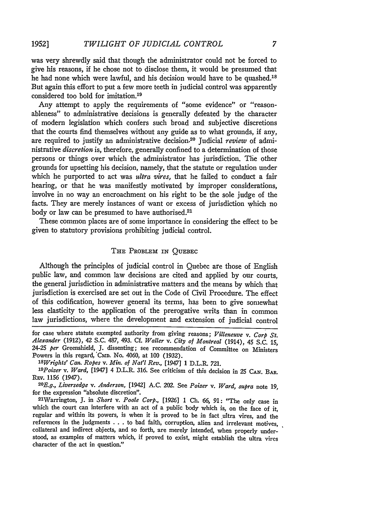was very shrewdly said that though the administrator could not be forced to give his reasons, if he chose not to disclose them, it would be presumed that he had none which were lawful, and his decision would have to be quashed.<sup>18</sup> But again this effort to put a few more teeth in judicial control was apparently considered too bold for imitation.<sup>19</sup>

Any attempt to apply the requirements of "some evidence" or "reasonableness" to administrative decisions is generally defeated by the character of modern legislation which confers such broad and subjective discretions that the courts find themselves without any guide as to what grounds, if any, are required to justify an administrative decision.<sup>20</sup> Judicial review of administrative *discretion* is, therefore, generally confined to a determination of those persons or things over which the administrator has jurisdiction. The other grounds for upsetting his decision, namely, that the statute or regulation under which he purported to act was *ultra vires,* that he failed to conduct a fair hearing, or that he was manifestly motivated by improper considerations, involve in no way an encroachment on his right to be the sole judge of the facts. They are merely instances of want or excess of jurisdiction which no body or law can be presumed to have authorised.<sup>21</sup>

These common places are of some importance in considering the effect to be given to statutory provisions prohibiting judicial control.

## THE PROBLEM IN **QUEBEC**

Although the principles of judicial control in Quebec are those of English public law, and common law decisions are cited and applied by our courts, the general jurisdiction in administrative matters and the means by which that jurisdiction is exercised are set out in the Code of Civil Procedure. The effect of this codification, however general its terms, has been to give somewhat less elasticity to the application of the prerogative writs than in common law jurisdictions, where the development and extension of judicial control

*1 <sup>8</sup> Wrights' Can. Ropes v. Min. of Nat'l Rev., [1947]* 1 D.L.R. 721.

for case where statute exempted authority from giving reasons; *Villeneuve v. Corp St. Alexander* (1912), 42 S.C. 487, 493. Cf. *Waller v. City of Montreal* (1914), 45 S.C. **15,** 24-25 *per* Greenshield, J. dissenting; see recommendation of Committee on Ministers Powers in this regard, 'CMD. No. 4060, at 100 (1932).

*<sup>19</sup>Poizer v. Ward,* [1947] 4 D.L.R. 316. See criticism of this decision in 25 CAN. BAR. **REv.** 1156 (1947).

*<sup>20</sup> E.g., Liversedge v. Anderson,* [1942] A.C. 202. See *Poizer v. Ward, supra* note 19, for the expression "absolute discretion".

<sup>&</sup>lt;sup>21</sup>Warrington, J. in *Short v. Poole Corp.*, [1926] 1 Ch. 66, 91: "The only case in which the court can interfere with an act of a public body which is, on the face of it, regular and within its powers, is when it is proved to be in fact ultra vires, and the references in the judgments . . . to bad faith, corruption, alien and irrelevant motives, collateral and indirect objects, and so forth, are merely intended, when properly understood, as examples of matters which, if proved to exist, might establish the ultra vires character of the act in question."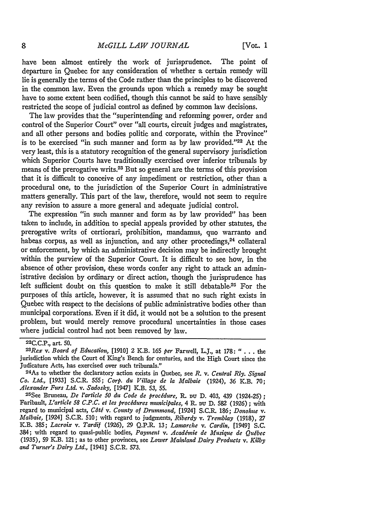[VOL. **1**

have been almost entirely the work of jurisprudence. The point of departure in Quebec for any consideration of whether a certain remedy will lie is generally the terms of the Code rather than the principles to be discovered in the common law. Even the grounds upon which a remedy may be sought have to some extent been codified, though this cannot be said to have sensibly restricted the scope of judicial control as defined by common law decisions.

The law provides that the "superintending and reforming power, order and control of the Superior Court" over "all courts, circuit judges and magistrates, and all other persons and bodies politic and corporate, within the Province" is to be exercised "in such manner and form as by law provided."<sup>22</sup> At the very least, this is a statutory recognition of the general supervisory jurisdiction which Superior Courts have traditionally exercised over inferior tribunals by means of the prerogative writs.23 But so general are the terms of this provision that it is difficult to conceive of any impediment or restriction, other than a procedural one, to the jurisdiction of the Superior Court in administrative matters generally. This part of the law, therefore, would not seem to require any revision to assure a more general and adequate judicial control.

The expression "in such manner and form as by law provided" has been taken to include, in addition to special appeals provided by other statutes, the prerogative writs of certiorari, prohibition, mandamus, quo warranto and habeas corpus, as well as injunction, and any other proceedings,<sup>24</sup> collateral or enforcement, by which an administrative decision may be indirectly brought within the purview of the Superior Court. It is difficult to see how, in the absence of other provision, these words confer any right to attack an administrative decision by ordinary or direct action, though the jurisprudence has left sufficient doubt on this question to make it still debatable.<sup>25</sup> For the purposes of this article, however, it is assumed that no such right exists in Quebec with respect to the decisions of public administrative bodies other than municipal corporations. Even if it did, it would not be a solution to the present problem, but would merely remove procedural uncertainties in those cases where judicial control had not been removed by law.

22C.C.P., art. 50.

*<sup>23</sup> Rex v. Board of Education,* [1910] 2 K.B. 165 *per* Farwell, L.J., at 178: " . . **.** the jurisdiction which the Court of King's Bench for centuries, and the High Court since the Judicature Acts, has exercised over such tribunals."

<sup>24</sup> As to whether the declaratory action exists in Quebec, see *R.* v. *Central Rly. Signal Co. Ltd.,* [1933] S.C.R. 555; *Corp. die* Village *de* la *Malbaie* (1924), 36 K.B. 70; *Alexander Furs Ltd. v. Sadosky,* [1947] K.B. 53, 55. <sup>25</sup>

<sup>25</sup> See Bruneau, *De l'article 50 du Code de procédure*, R. pu D. 403, 439 (1924-25); Faribault, *L'article 58 C.P.C. et les procedures municipales,* 4 R. **Du** D. **582** (1926) ; with regard to municipal acts, *Côté v. County of Drummond*, [1924] S.C.R. 186; *Donohue v. Malbaie,* [1924] S.C.R. 510; with regard to judgments, *Riberdy v. Tremblay* (1918), **27** K.B. 385; *Lacroix v. Tardif* (1926), **29** Q.P.R. 13; *Lamarche v. Cardin,* [1949] S.C. 384; with regard to quasi-public bodies, *Payment v. Acadiinie de Musique de Quibec* (1935), 59 K.B. 121; as to other provinces, see *Lower Mainland Dairy Products v. Kilby and Turner's Dairy Ltd.,* [1941] S.C.R. 573.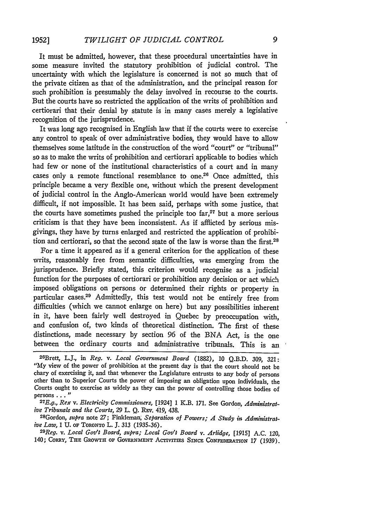It must be admitted, however, that these procedural uncertainties have in some measure invited the statutory prohibition of judicial control. The uncertainty with which the legislature is concerned is not so much that of the private citizen as that of the administration, and the principal reason for such prohibition is presumably the delay involved in recourse to the courts. But the courts have so restricted the application of the writs of prohibition and certiorari that their denial **by** statute is in many cases merely a legislative recognition of the jurisprudence.

It was long ago recognised in English law that if the courts were to exercise any control to speak of over administrative bodies, they would have to allow themselves some latitude in the construction of the word "court" or "tribunal" so as to make the writs of prohibition and certiorari applicable to bodies which had few or none of the institutional characteristics of a court and in many cases only a remote functional resemblance to one.26 Once admitted, this principle became a very flexible one, without which the present development of judicial control in the Anglo-American world would have been extremely difficult, if not impossible. It has been said, perhaps with some justice, that the courts have sometimes pushed the principle too  $\ar{f}^{27}$  but a more serious criticism is that they have been inconsistent. As if afflicted **by** serious misgivings, they have **by** turns enlarged and restricted the application of prohibition and certiorari, so that the second state of the law is worse than the first.<sup>28</sup>

For a time it appeared as if a general criterion for the application of these writs, reasonably free from semantic difficulties, was emerging from the jurisprudence. Briefly stated, this criterion would recognise as a judicial function for the purposes of certiorari or prohibition any decision or act which imposed obligations on persons or determined their rights or property in particular cases.<sup>29</sup> Admittedly, this test would not be entirely free from difficulties (which we cannot enlarge on here) but any possibilities inherent in it, have been fairly well destroyed in Quebec **by** preoccupation with, and confusion of, two kinds of theoretical distinction. The first of these distinctions, made necessary **by** section 96 of the **BNA** Act, is the one between the ordinary courts and administrative tribunals. This is an

*Reg. v. Local Gov't Board, supra; Local Gov't Board v. Arlidge,* [1915] **A.C.** 120, 140; CORRY, THE GROWTH OF GOVERNMENT ACTIVITIES SINCE CONFEDERATION 17 (1939).

<sup>26</sup> Brett, L.J., in *Reg. v. Local Government Board* **(1882), 10 Q.B.D. 309, 321: "My** view of the power of prohibition at the present day is that the court should not be chary of exercising it, and that whenever the Legislature entrusts to any body of persons other than to Superior Courts the power of imposing an obligation upon individuals, the Courts ought to exercise as widely as they can the power of controlling those bodies of persons... **"**

*<sup>2</sup> 7 E.g, Rex v. Electricity Commissioners,* [1924] 1 K.B. 171. See Gordon, *Administrative Tribunals and the Courts, 29 L. Q. REv. 419, 438. 28Gordon, supra note 27; Finkleman, Separation of Powers; A Study in Administrat-*

*ive Law, 1 U. of TORONTO L. J. 313 (1935-36).*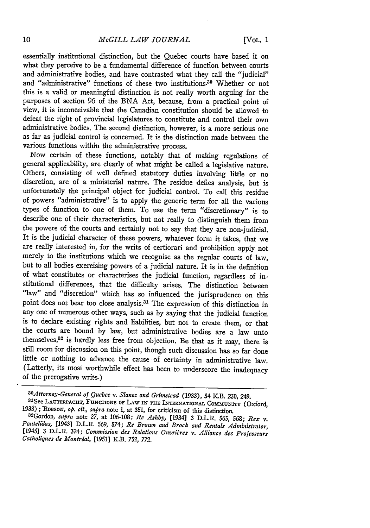essentially institutional distinction, but the Quebec courts have based it on what they perceive to be a fundamental difference of function between courts and administrative bodies, and have contrasted what they call the "judicial" and "administrative" functions of these two institutions.<sup>30</sup> Whether or not this is a valid or meaningful distinction is not really worth arguing for the purposes of section 96 of the BNA Act, because, from a practical point of view, it is inconceivable that the Canadian constitution should be allowed to defeat the right of provincial legislatures to constitute and control their own administrative bodies. The second distinction, however, is a more serious one as far as judicial control is concerned. It is the distinction made between the various functions within the administrative process.

Now certain of these functions, notably that of making regulations of general applicability, are clearly of what might be called a legislative nature. Others, consisting of well defined statutory duties involving little or no discretion, are of a ministerial nature. The residue defies analysis, but is unfortunately the principal object for judicial control. To call this residue of powers "administrative" is to apply the generic term for all the various types of function to one of them. To use the term "discretionary" is to describe one of their characteristics, but not really to distinguish them from the powers of the courts and certainly not to say that they are non-judicial. It is the judicial character of these powers, whatever form it takes, that we are really interested in, for the writs of certiorari and prohibition apply not merely to the institutions which we recognise as the regular courts of law, but to all bodies exercising powers of a judicial nature. It is in the definition of what constitutes or characterises the judicial function, regardless of institutional differences, that the difficulty arises. The distinction between "law" and "discretion" which has so influenced the jurisprudence on this point does not bear too close analysis. 31 The expression of this distinction in any one of numerous other ways, such as by saying that the judicial function is to declare existing rights and liabilities, but not to create them, or that the courts are bound by law, but administrative bodies are a law unto themselves, $32$  is hardly less free from objection. Be that as it may, there is still room for discussion on this point, though such discussion has so far done little or nothing to advance the cause of certainty in administrative law. (Latterly, its most worthwhile effect has been to underscore the inadequacy of the prerogative writs.)

<sup>&</sup>lt;sup>30</sup> Attorney-General of Quebec v. Slanec and Grimstead (1933), 54 K.B. 230, 249. See LAUTERPACHT, FUNcTIONs OF LAw IN THE INTERNATIONAL COMMUNITY (Oxford,

<sup>1933);</sup> ROBSON, op. cit., supra note 1, at 351, for criticism of this distinction.<br><sup>32</sup>Gordon, supra note 27, at 106-108; Re Ashby, [1934] 3 D.L.R. 565, 568; Rex v.<br>Pantelidas, [1943] D.L.R. 569, 574; Re Brown and Brock an *Catholiques de Montrial,* [1951] K.B. 752, 772.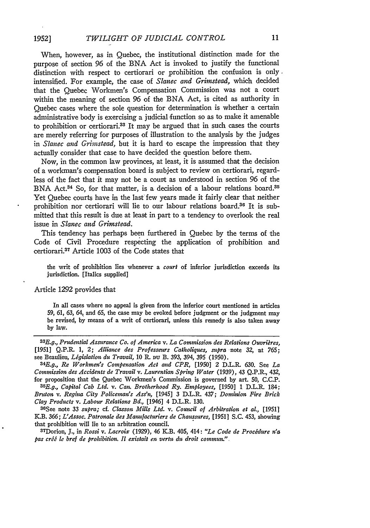When, however, as in Quebec, the institutional distinction made for the purpose of section 96 of the BNA Act is invoked to justify the functional distinction with respect to certiorari or prohibition the confusion is only. intensified. For example, the case of *Slanec and Grimstead,* which decided that the Quebec Workmen's Compensation Commission was not a court within the meaning of section 96 of the BNA Act, is cited as authority in Quebec cases where the sole question for determination is whether a certain administrative body is exercising a judicial function so as to make it amenable to prohibition or certiorari.33 It may be argued that in such cases the courts are merely referring for purposes of illustration to the analysis by the judges in *Slanec and Grimstead,* but it is hard to escape the impression that they actually consider that case to have decided the question before them.

Now, in the common law provinces, at least, it is assumed that the decision of a workman's compensation board is subject to review on certiorari, regardless of the fact that it may not be a count as understood in section 96 of the BNA Act.<sup>34</sup> So, for that matter, is a decision of a labour relations board.<sup>35</sup> Yet Quebec courts have in the last few years made it fairly clear that neither prohibition nor certiorari will lie to our labour relations board.<sup>36</sup> It is submitted that this result is due at least in part to a tendency to overlook the real issue in *Slanec and Grinstead.*

This tendency has perhaps been furthered in Quebec by the terms of the Code of Civil Procedure respecting the application of prohibition and certiorari.37 Article 1003 of the Code states that

the writ of prohibition lies whenever a court of inferior jurisdiction exceeds its jurisdiction. [Italics supplied]

Article 1292 provides that

**1952]**

In all cases where no appeal is given from the inferior court mentioned in articles 59, 61, *63,* 64, and **65,** the case may be evoked before judgment or the judgment may be revised, **by** means of a writ of certiorari, unless this remedy is also taken away by law.

<sup>33</sup>E.g., Prudential Assurance Co. of America v. La Commission des Relations Ouvrières, [1951] **Q.P.R.** 1, 2; *Alliance des Professeurs Catholiques, supra* note *32,* at 765; see Beaulieu, *Ligislation du Travail,* 10 **R.** Du B. 393, 394, 395 (1950). *<sup>3</sup> <sup>4</sup>*

*E.g., Re Workmen's Compensation Act and CPR,* [1950] 2 D.L.R. **630.** See *La Commission des Accidents de Travail v. Laurentian Spring Water* (1939), 43 Q.P.R., 432, for proposition that the Quebec Workmen's Commission is governed **by** art. 50, **C.C.P.** *<sup>3</sup> <sup>5</sup>*

*E.g., Capital Cab Ltd. v. Can. Brotherhood Ry. Employees,* [1950] 1 D.L.R. 184; *Bruton v. Regina City Policeman's Ass'n,* [1945] **3** D.L.R. 437; *Dominion, Fire Brick Clay Products v. Labour Relations Bd.,* [1946] 4 D.L.R. 130.

36 See note **33** *supra; cf. Classon, Mills Ltd. v. Council of Arbitration et al.,* [1951] K.B. *366; L'Assoc. Patronale des Manufacturiers de Chaussures,* [1951] **S.C.** 453, showing that prohibition will lie to an arbitration council.

Dorion, **J.,** in *Rossi v. Lacroix* (1929), 46 K.B. 405, 414: *"Le Code de Procedure n'a pas cri le bref de prohibition. I1 existait en vertu, du droit commun.".*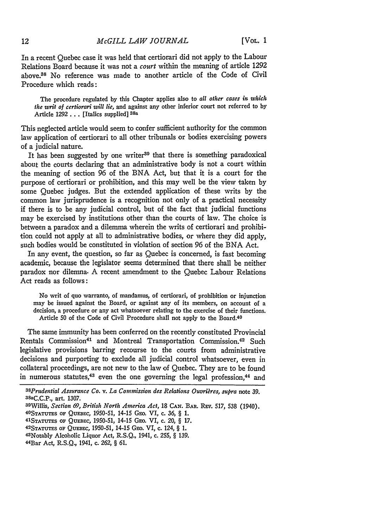In a recent Quebec case it was held that certiorari did not apply to the Labour Relations Board because it was not a *court* within the meaning of article 1292 above.38 No reference was made to another article of the Code of Civil Procedure which reads:

The procedure regulated by this Chapter applies also to *all other cases in which the writ of certiorari will lie,* and against any other inferior court not referred to **by** Article **1292 . .** [Italics supplied] **38a**

This neglected article would seem to confer sufficient authority for the common law application of certiorari to all other tribunals or bodies exercising powers of a judicial nature.

It has been suggested by one writer<sup>39</sup> that there is something paradoxical about the courts declaring that an administrative body is not a court within the meaning of section 96 of the **BNA** Act, but that it is a court for the purpose of certiorari or prohibition, and this may well be the view taken **by** some Quebec judges. But the extended application of these writs **by** the common law jurisprudence is a recognition not only of a practical necessity if there is to be any judicial control, but of the fact that judicial functions may be exercised by institutions other than the courts of law. The choice is between a paradox and a dilemma wherein the writs of certiorari and prohibition could not apply at all to administrative bodies, or where they did apply, such bodies would be constituted in violation of section 96 of the BNA Act.

In any event, the question, so far as Quebec is concerned, is fast becoming academic, because the legislator seems determined that there shall be neither paradox nor dilemna. A recent amendment to the Quebec Labour Relations Act reads as follows:

No writ of quo warranto, of mandamus, of certiorari, of prohibition or injunction may be issued against the Board, or against any of its members, on account of a decision, a procedure or any act whatsoever relating to the exercise of their functions. Article 50 of the Code of Civil Procedure shall not apply to the Board.<sup>40</sup>

The same immunity has been conferred on the recently constituted Provincial Rentals Commission<sup>41</sup> and Montreal Transportation Commission.<sup>42</sup> Such legislative provisions barring recourse to the courts from administrative decisions and purporting to exclude all judicial control whatsoever, even in collateral proceedings, are not new to the law of Quebec. They are to be found in numerous statutes, $43$  even the one governing the legal profession, $44$  and

<sup>&</sup>lt;sup>38</sup>Prudential Assurance Co. v. La Commission des Relations Ouvrières, supra note 39. 38aC.C.P., art. **1307.**

<sup>&</sup>lt;sup>39</sup>Willis, *Section 69*, *British North America Act*, 18 CAN. Bar. Rev. 517, 538 (1940)<br><sup>40</sup> Statutes of Quebec, 1950-51, 14-15 Geo. VI, c. 36, § 1.<br><sup>41</sup> Statutes of Quebec, 1950-51, 14-15 Geo. VI, c. 20, § 17.

**STATUTS OF QUEBEC,** 1950-51, 14-15 GEo. VI, c. 124, § 1.

<sup>43</sup>Notably Alcoholic Liquor Act, R.S.Q., 1941, c. **255,** § 139.

<sup>44</sup>Bar Act, R.S.Q., 1941, c. **262,** § **61.**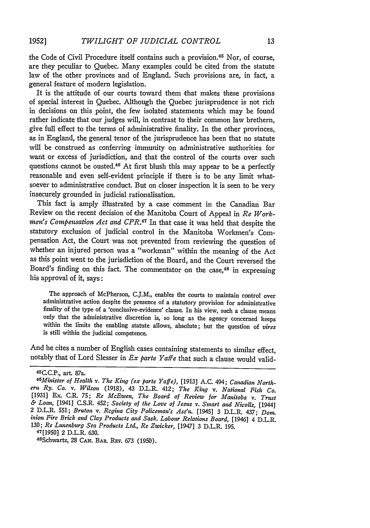the Code of Civil Procedure itself contains such a provision.<sup>45</sup> Nor, of course, are they peculiar to Quebec. Many examples could be cited from the statute law of the other provinces and of England. Such provisions are, in fact, a general feature of modem legislation.

It is the attitude of our courts toward them that makes these provisions of special interest in Quebec. Although the Quebec jurisprudence is not rich in decisions on this point, the few isolated statements which may be found rather indicate that our judges will, in contrast to their common law brethern, give full effect to the terms of administrative finality. In the other provinces, as in England, the general tenor of the jurisprudence has been that no statute will be construed as conferring immunity on administrative authorities for want or excess of jurisdiction, and that the control of the courts over such questions cannot be ousted.<sup>46</sup> At first blush this may appear to be a perfectly reasonable and even self-evident principle if there is to be any limit whatsoever to administrative conduct. But on closer inspection it is seen to be very insecurely grounded in judicial rationalisation.

This fact is amply illustrated by a case comment in the Canadian Bar Review on the recent decision of the Manitoba Court of Appeal in *Re Workmen's Compensation Act and CPR.47* In that case it was held that despite the statutory exclusion of judicial control in the Manitoba Workmen's Compensation Act, the Court was not prevented from reviewing the question of whether an injured person was a "workman" within the meaning of the Act as this point went to the jurisdiction of the Board, and the Court reversed the Board's finding on this fact. The commentator on the case,<sup>48</sup> in expressing his approval of it, says:

The approach of McPherson, C.J.M., enables the courts to maintain control over administrative action despite the presence of a statutory provision for administrative finality of the type of a 'conclusive-evidence' clause. In his view, such a clause means only that the administrative discretion is, so long as the agency concerned keeps within the limits the enabling statute allows, absolute; but the question of vires is still within the judicial competence.

And he cites a number of English cases containing statements to similar effect, notably that of Lord Slesser in *Ex parte Yaffe* that such a clause would valid-

47[1950] 2 D.L.R. 630.

48 Schwartz, **28 CAN.** BaR. **RE V.** 673 (1950).

<sup>45</sup>C.C.P., art. 87a.

*<sup>46</sup>Minister of Health v. The King (ex parte Yaffe),* [1913] **A.C.** 494; *Canadian North- ern Ry. Co. v. Wilson* (1918), 43 D.L.R. 412; *The King v. National Fish Co.* [1931] Ex. **C.I. 75;** *Re McEwen, The Board of Review for Manitoba v. Trust & Loan,* [1941] C.S.R. 452; *Society of the Love of Jesus v. Smart and Nicolls,* [1944] 2 D.L.R. 551; *Bruton v. Regina City Policeman's Ass'n.* [1945] 3 D.L.R. 437; *Don;.* inion Fire Brick and Clay Products and Sask. Labour Relations Board, [1946] 4 D.L.R. 130; *Re Lunenburg Sea Products Ltd., Re Zwicker,* [1947] 3 D.L.R. 195.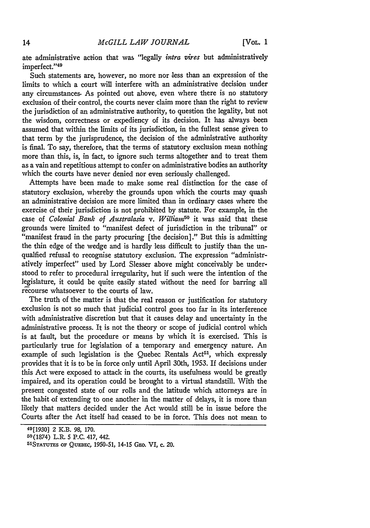ate administrative action that was "legally *intra vires* but administratively imperfect."49

Such statements are, however, no more nor less than an expression of the limits to which a court will interfere with an administrative decision under any circumstances. As pointed out above, even where there is no statutory exclusion of their control, the courts never claim more than the right to review the jurisdiction of an administrative authority, to question the legality, but not the wisdom, correctness or expediency of its decision. It has always been assumed that within the limits of its jurisdiction, in the fullest sense given to that term by the jurisprudence, the decision of the administrative authority is final. To say, therefore, that the terms of statutory exclusion mean nothing more than this, is, in fact, to ignore such terms altogether and to treat them as a vain and repetitious attempt to confer on administrative bodies an authority which the courts have never denied nor even seriously challenged.

Attempts have been made to make some real distinction for the case of statutory exclusion, whereby the grounds upon which the courts may quash an administrative decision are more limited than in ordinary cases where the exercise of their jurisdiction is not prohibited by statute. For example, in the case of *Colonial Bank of Australasia* v. William<sup>50</sup> it was said that these grounds were limited to "manifest defect of jurisdiction in the tribunal" or "manifest fraud in the party procuring [the decision]." But this is admitting the thin edge of the wedge and is hardly less difficult to justify than the unqualfied refusal to recognise statutory exclusion. The expression "administratively imperfect" used by Lord Slesser above might conceivably be understood to refer to procedural irregularity, but if such were the intention of the legislature, it could be quite easily stated without the need for barring all recourse whatsoever to the courts of law.

The truth of the matter is that the real reason or justification for statutory exclusion is not so much that judicial control goes too far in its interference with administrative discretion but that it causes delay and uncertainty in the administrative process. It is not the theory or scope of judicial control which is at fault, but the procedure or means by which it is exercised. This is particularly true for legislation of a temporary and emergency nature. An example of such legislation is the Quebec Rentals Act<sup>51</sup>, which expressly provides that it is to be in force only until April 30th, 1953. If decisions under this Act were exposed to attack in the courts, its usefulness would be greatly impaired, and its operation could be brought to a virtual standstill. With the present congested state of our rolls and the latitude which attorneys are in the habit of extending to one another in the matter of delays, it is more than likely that matters decided under the Act would still be in issue before the Courts after the Act itself had ceased to be in force. This does not mean to

<sup>49[1930] 2</sup> K.B. **98, 170.**

<sup>50(1874)</sup> L.R. 5 P.C. 417, 442.

**<sup>51</sup> STATUThS** OF QumEBc, 1950-51, 14-15 GEo. *VI,* c. 20.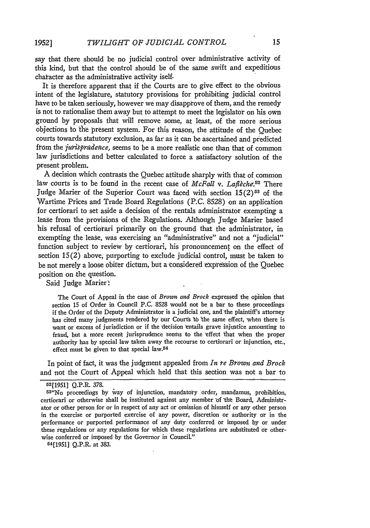say that there should be no judicial control over administrative activity of this kind, but that the control should be of the same swift and expeditious chatacter as the administrative activity iself.

It is therefore apparent that if the Courts are to give effect to the obvious intent of the legislature, statutory provisions for prohibiting judicial control have to be taken seriously, however we may disapprove of them, and the remedy is not to rationalise them away but to attempt to meet the legislator on his own ground by proposals that will remove some, at least, of the more serious objections to the present system. For this reason, the attitude of the Quebec courts towards statutory exclusion, as far as it can be ascertained and predicted from the jurisprudence, seems to be a more realistic one than that of common law jurisdictions and better calculated to force a satisfactory solution of the present problem.

A decision which contrasts the Quebec attitude sharply with that of common law courts is to be found in the recent case of *McFall v. Laflèche*.<sup>52</sup> There Judge Marier of the Superior Court was faced with section 15(2)<sup>53</sup> of the Wartime Prices and Trade Board Regulations (P.C. 8528) on an application for certiorari to set aside a decision of the rentals administrator exempting a lease from the provisions of the Regulations. Although Judge Marier based his refusal of certiorari primarily on the ground that the administrator, in exempting the lease, was exercising an "administrative" and not a "judicial" function subject to review by certiorari, his pronouncement on the effect of section 15(2) above, purporting to exclude judicial control, must be taken to be not merely a loose obiter dictum, but a considered expression of the Quebec position on the question.

Said Judge Marier

The Court of Appeal in the case of *Brown and Brock* expressed the opinion that section **15** of Order in Council **P.C. 8528** would not be a bar to these proceedings **if** the Order of the Deputy Administrator is a judicial one, and 'the plaintiff's attorney has cited many judgments tendered **by** our Courts 'tb The same effect, when there is want or excess of jurisdiction or if the decision entails grave injustice amounting to fraud, but a more recent jurisprudence seems to the effect that when the proper authority has **by** special law taken away the recourse to certiorari or injunction, etc., effect must be given to that special law.<sup>54</sup>

In point of fact, it was the judgment appealed from *In te Brown and Brock* and not the Court of Appeal which held that this section was not a bar to

<sup>52[1951]</sup> Q.P.R. **378.**

<sup>53</sup> "No proceedings **by** 'vay of injunction, mandatory order, mandamus, prohibition, certiorari or otherwise shall be instituted against any member of the Board, Administrator or other person for or in respect of any act or omission of himself or any other person in the exercise or purported exercise of any power, discretion or authority or in the performance or purported performance of any duty conferred Or imposed **by** or under these regulations or any regulations for which these regulations are substituted or otherwise conferred or imposed **by** the Governor in Council."

<sup>54[1951]</sup> **Q.P.R.** at **383.**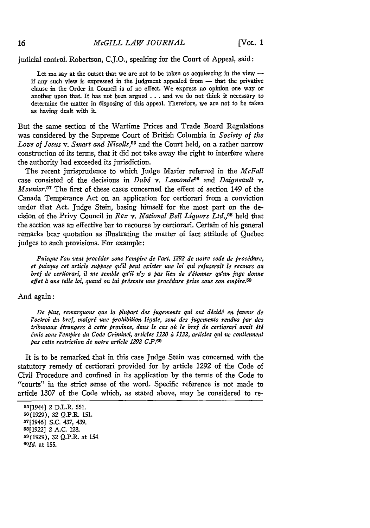judicial control. Robertson, **C.J.O.,** speaking for the Court of Appeal, said:

Let me say at the outset that we are not to be taken as acquiescing in the view  $$ if any such view is expressed in the judgment appealed from  $-$  that the privative clause in the Order in Council is of no effect. We express no opinion one way or another upon that. It has not been argued **...** and we do not think it necessary to determine the matter in disposing of this appeal. Therefore, we are not to be taken as having dealt with it.

But the same section of the Wartime Prices and Trade Board Regulations was considered by the Supreme Court of British Columbia in *Society of the Love of Jesus v. Smart and Nicolls,55* and the Court held, on a rather narrow construction of its terms, that it did not take away the right to interfere where the authority had exceeded its jurisdiction.

The recent jurisprudence to which Judge Marier referred in the *McFall* case consisted of the decisions in *Dubé* v. Lemonde<sup>56</sup> and *Daigneault* v. *Meunier.57* The first of these cases concerned the effect of section 149 of the Canada Temperance Act on an application for certiorari from a conviction under that Act. Judge Stein, basing himself for the most part on the decision of the Privy Council in *Rex v. National Bell Liquors Ltd.,8* held that the section was an effective bar to recourse by certiorari. Certain of his general remarks bear quotation as illustrating the matter of fact attitude of Quebec judges to such provisions. For example:

*Puisque l'ot veut procider sous l'empire de l'art. 1292 de notre code de procidure,* et puisque cet article suppose qu'il peut exister une loi qui refuserait le recours au *bref de certiorari, il me semble qu'il n'y a pas lieu de s'itonner qu'un juge donne effet a une telle loi, quand on lui prisente une procidure prise sous son empire.69*

And again:

*De plus, remarquons que la plupart des jugements qui ont décidé en faveur de l'octroi du bref, malgri une prohibition ligale, sont des jugements rendus par des* tribunaux étrangers à cette province, dans le cas où le bref de certiorari avait été *6mis sous l'empire du Code Criminel, articles 1120 a 1132, articles qui ne contiennent pas cette restriction de notre article 1292 C.P.6o*

It is to be remarked that in this case Judge Stein was concerned with the statutory remedy of certiorari provided for **by** article **1292** of the Code of Civil Procedure and confined in its application by the terms of the Code to "courts" in the strict sense of the word. Specific reference is not made to article 1307 of the Code which, as stated above, may be considered to re-

16

<sup>65[1944] 2</sup> D.L.R. 551. 56(1929), 32 Q.P.R. 151. 57[1946] S.C. 437, 439. 58[1922] 2 A.C. 128. 59(1929), 32 Q.P.R. at 154 60Id. at 155.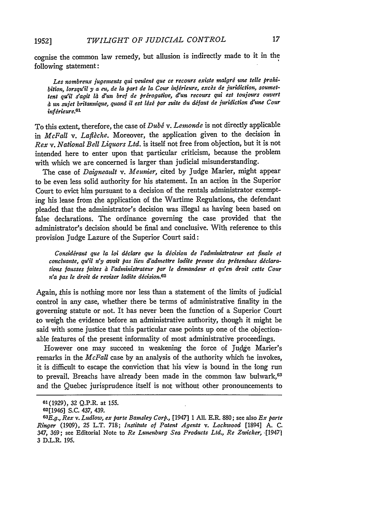cognise the common law remedy, but allusion is indirectly made to it in the following statement:

Les nombreux jugements qui veulent que ce recours existe malgré une telle prohi*bition, lorsqu'il y a eu, de la part de la Cour infirieure, excs de juridiction, soutnettent qu'il s'agit* la *dun bref de prerogative, d'un recours qui est toujours ouvert un sujet britannique, quand it est lisi par suite du difaut de juridiction dune Cour infirieure.6 '*

**To** this extent, therefore, the case of *Dubg v. Lemonde* is not directly applicable in *McFall v. Laflche.* Moreover, the application given to the decision in *Rex v. National Bell Liquors Ltd.* is itself not free from objection, but it is not intended here to enter upon that particular criticism, because the problem with which we are concerned is larger than judicial misunderstanding.

The case of *Daigneault v. Meunier,* cited by Judge Marier, might appear to be even less solid authority for his statement. In an action in the Superior Court to evict him pursuant to a decision of the rentals administrator exempting his lease from the application of the Wartime Regulations, the defendant pleaded that the administrator's decision was illegal as having been based on false declarations. The ordinance governing the case provided that the administrator's decision should be final and conclusive. With reference to this provision Judge Lazure of the Superior Court said:

*Considirant que la loi diclare que la dicision de l'adntinistrateur est finale et concluante, quil n'y avait pas lieu d'admettre ladite preuve des pritendues diclarations fausses faites a l'adninistrateur par le demandeur et qu'en droit cette Cour n'a pas te droit de reviser ladite dicision.62*

Again, this is nothing more nor less than a statement of the limits of judicial control in any case, whether there be terms of administrative finality in the governing statute or not. It has never been the function of a Superior Court to weigh the evidence before an administrative authority, though it might be said with some justice that this particular case points up one of the objectionable features of the present informality of most administrative proceedings.

However one may succeed in weakening the force of Judge Marier's remarks in the *McFall* case by an analysis of the authority which he invokes, it is difficult to escape the conviction that his view is bound in the long run to prevail. Breachs have already been made in the common law bulwark, 63 and the Quebec jurisprudence itself is nat without other pronouncements to

**<sup>61(1929),</sup>** *32* Q.P.R. at **155.**

<sup>62[1946]</sup> S.C. 437, 439.

*<sup>03</sup>E.g., Rex v. Ludlow, ex parte Bainsley Corp.,* [1947] 1 All. E.R. **880;** see also *Ex parte Rhger* (1909), **25** L.T. 718; *Institute of Patent Agents v. Lockwood* [1894] A. C. 347, 369; see Editorial Note to *Re Lunenburg Sea Products Ltd., Re Zwicker,* .[19471 3 D.L.R. 195.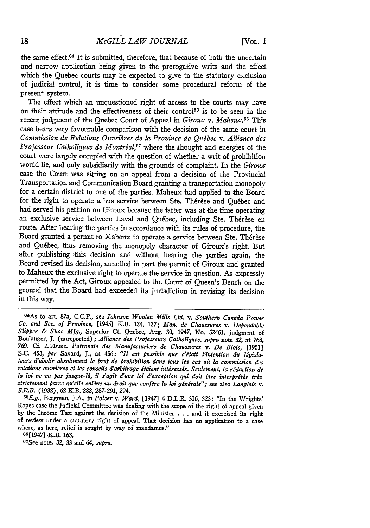the same effect. 64 It is submitted, therefore, that because of both the uncertain and narrow application being given to the prerogative writs and the effect which the Quebec courts may be expected to give to the statutory exclusion of judicial control, it is time to consider some procedural reform of the present system.

The effect which an unquestioned right of access to the courts may have on their attitude and the effectiveness of their control<sup>65</sup> is to be seen in the recent judgment of the Quebec Court of Appeal in *Giroux v. Maheux.06* This case bears very favourable comparison with the decision of the same court in *Commission de Relations Ouvriares de* la *Province de Qu6bec v. Alliance des Professeur Catholiques de Montréal*,<sup>67</sup> where the thought and energies of the court were largely occupied with the question of whether a writ of prohibition would lie, and only subsidiarily with the grounds of complaint. In the *Giroux* case the Court was sitting on an appeal from a decision of the Provincial Transportation and Communication Board granting a transportation monopoly for a certain district to one of the parties. Maheux had applied to the Board for the right to operate a bus service between Ste. Thérèse and Québec and had served his petition on Giroux because the latter was at the time operating an exclusive service between Laval and Québec, including Ste. Thérèse en route. After hearing the parties in accordance with its rules of procedure, the Board granted a permit to Maheux to operate a service between Ste. Thérèse and Quebec, thus removing the monopoly character of Giroux's right. But after publishing this decision and without hearing the parties again, the Board revised its decision, annulled in part the permit of Giroux and granted to Maheux the exclusive right to operate the service in question. As expressly permitted by the Act, Giroux appealed to the Court of Queen's Bench on the ground that the Board bad exceeded its jurisdiction in revising its decision in this way.

66[1947] K.B. 163.

67See notes 32, 33 and *64, supra.*

<sup>&</sup>quot;As to art. 87a, **C.C.P.,** see *\$ohnson Woolen Mills Ltd. v. Southern Canada Power Co. and Sec. of Province,* [1945] KB. 134, 137; *Man. de Chaussures v. Dependable Slipper & Shoe Mfg.,* Superior Ct. Quebec, Aug. 30, 1947, No. 52461, judgment **of** Boulanger, **J.** (unreported) ; *Alliance des Professeurs Catholiques, supra* note **32,** at **768,** *769.* **Cf.** *L'Assoc. Patronale des Manufacturiers de Chaussures v. De Blois,* [1951] S.C. 453, *per* Savard, J., at 456: "Il est possible que c'était l'intention du législa*teurs d'abolir absolument le bref de prohibition dans tous les cas oil* **la** *commission des* relations ouvrières et les conseils d'arbitrage étaient intéressés. Seulement, la rédaction de *la loi ne va pas jusque-la,* **il** *s'agit d'une* **loi** *d'exception qui doit Rtre interpr~tee* **fr&s** strictement parce qu'elle enlève un droit que confère la loi générale"; see also Langlais v. *S.R.B. (1932), 62* K.B. *282,* 287-291, 294. *<sup>65</sup>*

*E.g.,* Bergman, J.A., in *Poizer v. Ward,* [1947] 4 D.L.R. 316, **323:** "In the Wrights' Ropes case the Judicial Committee was dealing with the scope of the right of appeal given by the Income Tax against the decision of the Minister  $\ldots$  and it exercised its right of review under a statutory right of appeal. That decision has no application to a case where, as here, relief is sought by way of ma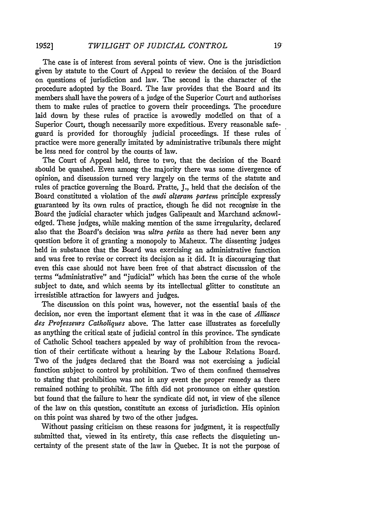**1952]**

The case is of interest from several points of view. One is the jurisdiction given by statute to the Court of Appeal to review the decision of the Board on questions of jurisdiction and law. The second is the character of the procedure adopted by the Board. The law provides that the Board and its members shall have the powers of a judge of the Superior Court and authorises them to make rules of practice to govern their proceedings. The procedure laid down by these rules of practice is avowedly modelled on that of a Superior Court, though necessarily more expeditious. Every reasonable safeguard is provided for thoroughly judicial proceedings. If these rules of practice were more generally imitated by administrative tribunals there might be less need for control by the courts of law.

The Court of Appeal held, three to two, that the decision of the Board should be quashed. Even among the majority there was some divergence **of** opinion, and discussion turned very largely on the terms of the statute and rules of practice governing the Board. Pratte, J., held that the decision of the Board constituted a violation of the *audi alteram parten* principle expressly guaranteed by its own rules of practice, though he did not recognise in the Board the judicial character which judges Galipeault and Marchand acknowledged. These judges, while making mention of the same irregularity, declared also that the Board's. decision was *ultra petita* as there had never been any question before it of granting a monopoly to Maheux. The dissenting judges held in substance that the Board was exercising an administrative function and was free to revise or correct its decision as it did. It is discouraging that even this case should not have been free of that abstract discussion of the terms "administrative" and "judicial" which has been the curse of the whole subject to date, and which seems by its intellectual glitter to constitute an irresistible attraction for lawyers and judges.

The discussion on this point was, however, not the essential basis of the decision, nor even the important element that it was in the case of *Alliance des Professeurs Catholiques* above. The latter case illustrates as forcefully as anything the critical state of judicial control in this province. The syndicate of Catholic School teachers appealed by way of prohibition from the revocation of their certificate without a hearing by the Labour Relations Board. Two of the judges declared that the Board was not exercising a judicial function subject to control by prohibition. Two of them confined themselves to stating that prohibition was not in any event the proper remedy as there remained nothing to prohibit. The fifth did not pronounce on either question but found that the failure to hear the syndicate did not, in view of the silence of the law on this question, constitute an excess of jurisdiction. His opinion on this point was shared by two of the other judges.

Without passing criticism on these reasons for judgment, it is respectfully submitted that, viewed in its entirety, this case reflects the disquieting uncertainty of the present state of the law in Quebec. It is not the purpose of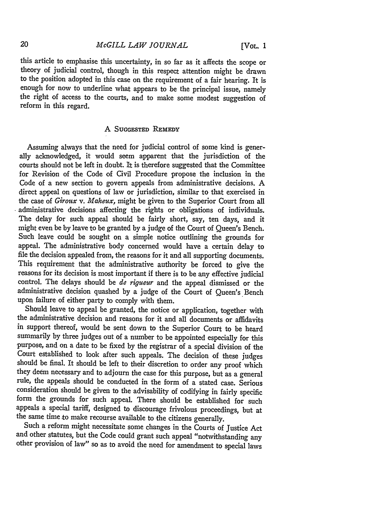this article to emphasise this uncertainty, in so far as it affects the scope or theory of judicial control, though in this respect attention might be drawn to the position adopted in this case on the requirement of a fair hearing. It is enough for now to underline what appears to be the principal issue, namely the right of access to the courts, and to make some modest suggestion of reform in this regard.

#### **A SUGGESTED REmEDY**

Assuming always that the need for judicial control of some kind is generally acknowledged, it would seem apparent that the jurisdiction of the courts should not be left in doubt. It is therefore suggested that the Committee for Revision of the Code of Civil Procedure propose the inclusion in the Code of a new section to govern appeals from administrative decisions. A direct appeal on questions of law or jurisdiction, similar to that exercised in the case of *Giroux v. Maheux,* might be given to the Superior Court from all administrative decisions affecting the rights or obligations of individuals. The delay for such appeal should be fairly short, say, ten days, and it might even be by leave to be granted by a judge of the Court of Queen's Bench. Such leave could be sought on a simple notice outlining the grounds for appeal. The administrative body concerned would have a certain delay to file the decision appealed from, the reasons for it and all supporting documents. This requirement that the administrative authority be forced to give the reasons for its decision is most important if there is to be any effective judicial control. The delays should be *de rigueur* and the appeal dismissed or the administrative decision quashed by a judge of the Court of Queen's Bench upon failure of either party to comply with them.

Should leave to appeal be granted, the notice or application, together with the administrative decision and reasons for it and all documents or affidavits in support thereof, would be sent down to the Superior Court to be heard summarily by three judges out of a number to be appointed especially for this purpose, and on a date to be fixed by the registrar of a special division of the Court established to look after such appeals. The decision of these judges should be final. It should be left to their discretion to order any proof which they deem necessary and to adjourn the case for this purpose, but as a general rule, the appeals should be conducted in the form of a stated case. Serious consideration should be given to the advisability of codifying in fairly specific form the grounds for such appeal. There should be established for such appeals a special tariff, designed to discourage frivolous proceedings, but at the same time to make recourse available to the citizens generally.

Such a reform might necessitate some changes in the Courts of Justice Act and other statutes, but the Code could grant such appeal "notwithstanding any other provision of law" so as to avoid the need for amendment to special laws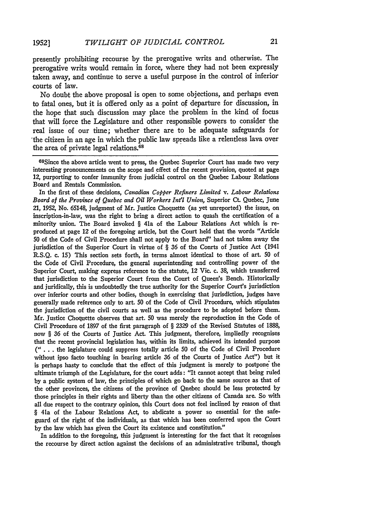presently prohibiting recourse by the prerogative writs and otherwise. The prerogative writs would remain in force, where they had not been expressly taken away, and continue to serve a useful purpose in the control of inferior courts of law.

No doubt the above proposal is open to some objections, and perhaps even to fatal ones, but it is offered only as a point of departure for discussion, in the hope that such discussion may place the problem in the kind of focus that will force the Legislature and other responsible powers to consider the real issue of our time; whether there are to be adequate safeguards for 'the citizen in an age in which the public law spreads like a relentless lava over the area of private legal relations.<sup>68</sup>

68Since the above article went to press, the Quebec Superior Court has made two very interesting pronouncements on the scope and effect of the recent provision, quoted at page 12, purporting to confer immunity from judicial control on the Quebec Labour Relations Board and Rentals Commission.

In the first of these decisions, *Canadian Copper Refiners Limited v. Labour Relations Board of the Province of Quebec and Oil Workers In'l Union,* Superior Ct. Quebec, June 21, 1952, No. 65148, judgment of Mr. Justice Choquette (as yet unreported) the issue, on inscription-in-law, was the right to bring a direct action to quash the certification of a minority union. The Board invoked § 41a of the Labour Relations Act which is reproduced at page 12 of the foregoing article, but the Court held that the words "Article 50 of the Code of Civil Procedure shall not apply to the Board" had not taken away the jurisdiction of the Superior Court in virtue of § 36 of the Conrts of Justice Act (1941 R.S.Q. c. 15) This section sets forth, in terms almost identical to those of art. 50 of the Code of Civil Procedure, the general superintending and controlling power of the Superior Court, making express reference to the statute, 12 Vic. c. 38, which transferred that jurisdiction to the Superior Court from the Court of Queen's Bench. Historically and juridically, this is undoubtedly the true authority for the Superior Court's jurisdiction over inferior courts and other bodies, though in exercising that jurisdiction, judges have generally made reference only to art. 50 of the Code of Civil Procedure, which stipulates the jurisdiction of the civil courts as well as the procedure to be adopted before them. Mr. Justice Choquette observes that art. 50 was merely the reproduction in the Code of Civil Procedure of 1897 of the first paragraph of § 2329 of the Revised Statutes of 1888, now § **36** of the Courts of Justice Act. This judgment, therefore, impliedly recognises that the recent provincial legislation has, within its limits, achieved its intended purpose **(" . . .** the legislature could suppress totally article 50 of the Code of Civil Procedure without ipso facto touching in bearing article 36 of the Courts of Justice Act") but it is perhaps hasty to conclude that the effect of this judgment is merely to postpone the ultimate triumph of the Legislature, for the court adds: "It cannot accept that being ruled by a public system of law, the principles of which go back to the same source as that of the other provinces, the citizens of the province of Quebec should be less protected by those principles in their rights and liberty than the other citizens of Canada are. So with all due respect to the contrary opinion, this Court does not feel inclined by reason of that § 41a of the Labour Relations Act, to abdicate a power so essential for the safeguard of the right of the individuals, as that which has been conferred upon the Court by the law which has given the Court its existence and constitution."

In addition to the foregoing, this judgment is interesting for the fact that it recognises the recourse by direct action against the decisions of an administrative tribunal, though